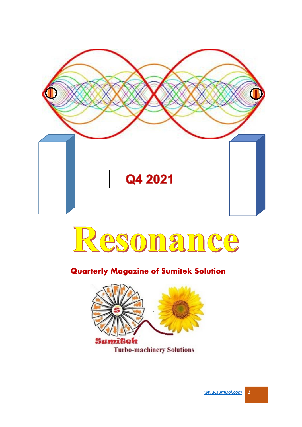



### **Quarterly Magazine of Sumitek Solution**

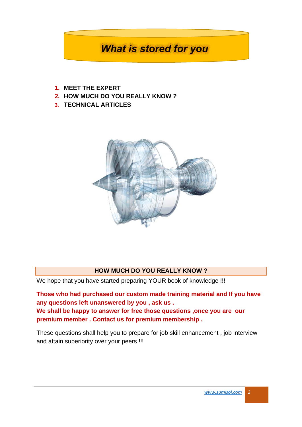# **What is stored for you**

- **1. MEET THE EXPERT**
- **2. HOW MUCH DO YOU REALLY KNOW ?**
- **3. TECHNICAL ARTICLES**



#### **HOW MUCH DO YOU REALLY KNOW ?**

We hope that you have started preparing YOUR book of knowledge !!!

**Those who had purchased our custom made training material and If you have any questions left unanswered by you , ask us . We shall be happy to answer for free those questions ,once you are our premium member . Contact us for premium membership .**

These questions shall help you to prepare for job skill enhancement , job interview and attain superiority over your peers !!!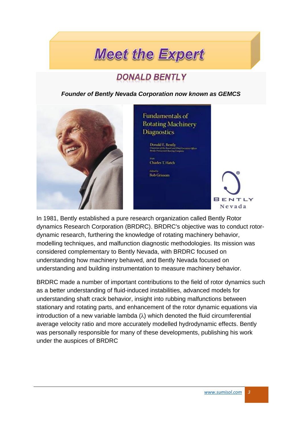# **Meet the Expert**

# **DONALD BENTLY**

*Founder of Bently Nevada Corporation now known as GEMCS*



### Fundamentals of **Rotating Machinery Diagnostics**

:<br>Donald E. Bently<br>Ohimnes of the Board and Court Kar<br>Reads Presentated Business Coupons

**Charles T. Hatch** 

**Bob Grissom** 

**BENTIY** Nevada

In 1981, Bently established a pure research organization called Bently Rotor dynamics Research Corporation (BRDRC). BRDRC's objective was to conduct rotordynamic research, furthering the knowledge of rotating machinery behavior, modelling techniques, and malfunction diagnostic methodologies. Its mission was considered complementary to Bently Nevada, with BRDRC focused on understanding how machinery behaved, and Bently Nevada focused on understanding and building instrumentation to measure machinery behavior.

BRDRC made a number of important contributions to the field of rotor dynamics such as a better understanding of fluid-induced instabilities, advanced models for understanding shaft crack behavior, insight into rubbing malfunctions between stationary and rotating parts, and enhancement of the rotor dynamic equations via introduction of a new variable lambda  $(\lambda)$  which denoted the fluid circumferential average velocity ratio and more accurately modelled hydrodynamic effects. Bently was personally responsible for many of these developments, publishing his work under the auspices of BRDRC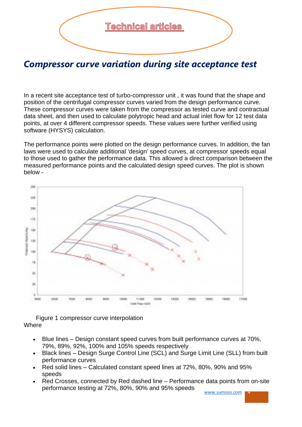

## *Compressor curve variation during site acceptance test*

In a recent site acceptance test of turbo-compressor unit , it was found that the shape and position of the centrifugal compressor curves varied from the design performance curve. These compressor curves were taken from the compressor as tested curve and contractual data sheet, and then used to calculate polytropic head and actual inlet flow for 12 test data points, at over 4 different compressor speeds. These values were further verified using software (HYSYS) calculation.

The performance points were plotted on the design performance curves. In addition, the fan laws were used to calculate additional 'design' speed curves, at compressor speeds equal to those used to gather the performance data. This allowed a direct comparison between the measured performance points and the calculated design speed curves. The plot is shown below -



Figure 1 compressor curve interpolation **Where** 

- Blue lines Design constant speed curves from built performance curves at 70%, 79%, 89%, 92%, 100% and 105% speeds respectively
- Black lines Design Surge Control Line (SCL) and Surge Limit Line (SLL) from built performance curves
- Red solid lines Calculated constant speed lines at 72%, 80%, 90% and 95% speeds
- Red Crosses, connected by Red dashed line Performance data points from on-site performance testing at 72%, 80%, 90% and 95% speeds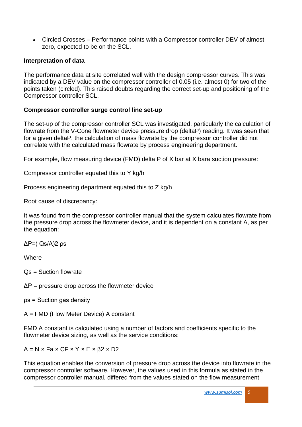• Circled Crosses – Performance points with a Compressor controller DEV of almost zero, expected to be on the SCL.

### **Interpretation of data**

The performance data at site correlated well with the design compressor curves. This was indicated by a DEV value on the compressor controller of 0.05 (i.e. almost 0) for two of the points taken (circled). This raised doubts regarding the correct set-up and positioning of the Compressor controller SCL.

### **Compressor controller surge control line set-up**

The set-up of the compressor controller SCL was investigated, particularly the calculation of flowrate from the V-Cone flowmeter device pressure drop (deltaP) reading. It was seen that for a given deltaP, the calculation of mass flowrate by the compressor controller did not correlate with the calculated mass flowrate by process engineering department.

For example, flow measuring device (FMD) delta P of X bar at X bara suction pressure:

Compressor controller equated this to Y kg/h

Process engineering department equated this to Z kg/h

Root cause of discrepancy:

It was found from the compressor controller manual that the system calculates flowrate from the pressure drop across the flowmeter device, and it is dependent on a constant A, as per the equation:

ΔP=( Qs/A)2 ρs

**Where** 

Qs = Suction flowrate

 $\Delta P$  = pressure drop across the flowmeter device

ρs = Suction gas density

A = FMD (Flow Meter Device) A constant

FMD A constant is calculated using a number of factors and coefficients specific to the flowmeter device sizing, as well as the service conditions:

 $A = N \times Fa \times CF \times Y \times E \times \beta2 \times D2$ 

This equation enables the conversion of pressure drop across the device into flowrate in the compressor controller software. However, the values used in this formula as stated in the compressor controller manual, differed from the values stated on the flow measurement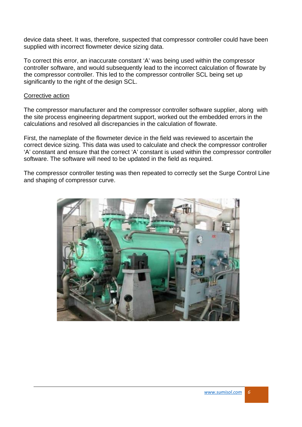device data sheet. It was, therefore, suspected that compressor controller could have been supplied with incorrect flowmeter device sizing data.

To correct this error, an inaccurate constant 'A' was being used within the compressor controller software, and would subsequently lead to the incorrect calculation of flowrate by the compressor controller. This led to the compressor controller SCL being set up significantly to the right of the design SCL.

#### Corrective action

The compressor manufacturer and the compressor controller software supplier, along with the site process engineering department support, worked out the embedded errors in the calculations and resolved all discrepancies in the calculation of flowrate.

First, the nameplate of the flowmeter device in the field was reviewed to ascertain the correct device sizing. This data was used to calculate and check the compressor controller 'A' constant and ensure that the correct 'A' constant is used within the compressor controller software. The software will need to be updated in the field as required.

The compressor controller testing was then repeated to correctly set the Surge Control Line and shaping of compressor curve.

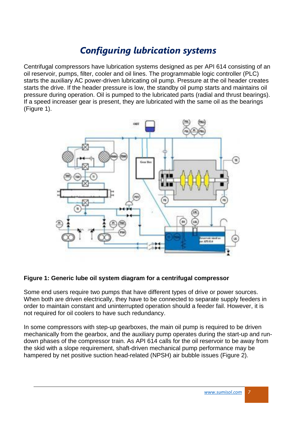# *Configuring lubrication systems*

Centrifugal compressors have lubrication systems designed as per API 614 consisting of an oil reservoir, pumps, filter, cooler and oil lines. The programmable logic controller (PLC) starts the auxiliary AC power-driven lubricating oil pump. Pressure at the oil header creates starts the drive. If the header pressure is low, the standby oil pump starts and maintains oil pressure during operation. Oil is pumped to the lubricated parts (radial and thrust bearings). If a speed increaser gear is present, they are lubricated with the same oil as the bearings (Figure 1).



#### **Figure 1: Generic lube oil system diagram for a centrifugal compressor**

Some end users require two pumps that have different types of drive or power sources. When both are driven electrically, they have to be connected to separate supply feeders in order to maintain constant and uninterrupted operation should a feeder fail. However, it is not required for oil coolers to have such redundancy.

In some compressors with step-up gearboxes, the main oil pump is required to be driven mechanically from the gearbox, and the auxiliary pump operates during the start-up and rundown phases of the compressor train. As API 614 calls for the oil reservoir to be away from the skid with a slope requirement, shaft-driven mechanical pump performance may be hampered by net positive suction head-related (NPSH) air bubble issues (Figure 2).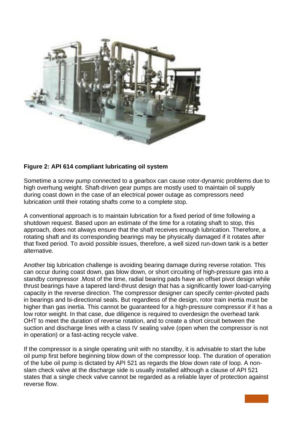

### **Figure 2: API 614 compliant lubricating oil system**

Sometime a screw pump connected to a gearbox can cause rotor-dynamic problems due to high overhung weight. Shaft-driven gear pumps are mostly used to maintain oil supply during coast down in the case of an electrical power outage as compressors need lubrication until their rotating shafts come to a complete stop.

A conventional approach is to maintain lubrication for a fixed period of time following a shutdown request. Based upon an estimate of the time for a rotating shaft to stop, this approach, does not always ensure that the shaft receives enough lubrication. Therefore, a rotating shaft and its corresponding bearings may be physically damaged if it rotates after that fixed period. To avoid possible issues, therefore, a well sized run-down tank is a better alternative.

Another big lubrication challenge is avoiding bearing damage during reverse rotation. This can occur during coast down, gas blow down, or short circuiting of high-pressure gas into a standby compressor .Most of the time, radial bearing pads have an offset pivot design while thrust bearings have a tapered land-thrust design that has a significantly lower load-carrying capacity in the reverse direction. The compressor designer can specify center-pivoted pads in bearings and bi-directional seals. But regardless of the design, rotor train inertia must be higher than gas inertia. This cannot be guaranteed for a high-pressure compressor if it has a low rotor weight. In that case, due diligence is required to overdesign the overhead tank OHT to meet the duration of reverse rotation, and to create a short circuit between the suction and discharge lines with a class IV sealing valve (open when the compressor is not in operation) or a fast-acting recycle valve.

If the compressor is a single operating unit with no standby, it is advisable to start the lube oil pump first before beginning blow down of the compressor loop. The duration of operation of the lube oil pump is dictated by API 521 as regards the blow down rate of loop. A nonslam check valve at the discharge side is usually installed although a clause of API 521 states that a single check valve cannot be regarded as a reliable layer of protection against reverse flow.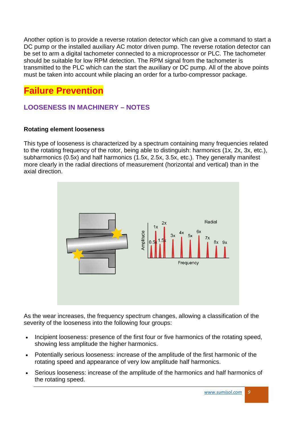Another option is to provide a reverse rotation detector which can give a command to start a DC pump or the installed auxiliary AC motor driven pump. The reverse rotation detector can be set to arm a digital tachometer connected to a microprocessor or PLC. The tachometer should be suitable for low RPM detection. The RPM signal from the tachometer is transmitted to the PLC which can the start the auxiliary or DC pump. All of the above points must be taken into account while placing an order for a turbo-compressor package.

# **Failure Prevention**

### **LOOSENESS IN MACHINERY – NOTES**

### **Rotating element looseness**

This type of looseness is characterized by a spectrum containing many frequencies related to the rotating frequency of the rotor, being able to distinguish: harmonics (1x, 2x, 3x, etc.), subharmonics (0.5x) and half harmonics (1.5x, 2.5x, 3.5x, etc.). They generally manifest more clearly in the radial directions of measurement (horizontal and vertical) than in the axial direction.



As the wear increases, the frequency spectrum changes, allowing a classification of the severity of the looseness into the following four groups:

- Incipient looseness: presence of the first four or five harmonics of the rotating speed, showing less amplitude the higher harmonics.
- Potentially serious looseness: increase of the amplitude of the first harmonic of the rotating speed and appearance of very low amplitude half harmonics.
- Serious looseness: increase of the amplitude of the harmonics and half harmonics of the rotating speed.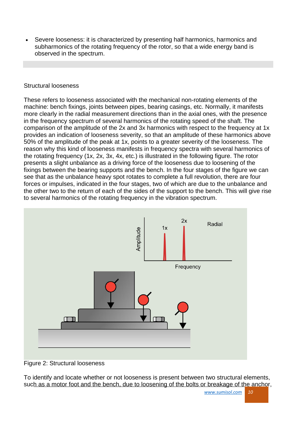• Severe looseness: it is characterized by presenting half harmonics, harmonics and subharmonics of the rotating frequency of the rotor, so that a wide energy band is observed in the spectrum.

#### Structural looseness

These refers to looseness associated with the mechanical non-rotating elements of the machine: bench fixings, joints between pipes, bearing casings, etc. Normally, it manifests more clearly in the radial measurement directions than in the axial ones, with the presence in the frequency spectrum of several harmonics of the rotating speed of the shaft. The comparison of the amplitude of the 2x and 3x harmonics with respect to the frequency at 1x provides an indication of looseness severity, so that an amplitude of these harmonics above 50% of the amplitude of the peak at 1x, points to a greater severity of the looseness. The reason why this kind of looseness manifests in frequency spectra with several harmonics of the rotating frequency (1x, 2x, 3x, 4x, etc.) is illustrated in the following figure. The rotor presents a slight unbalance as a driving force of the looseness due to loosening of the fixings between the bearing supports and the bench. In the four stages of the figure we can see that as the unbalance heavy spot rotates to complete a full revolution, there are four forces or impulses, indicated in the four stages, two of which are due to the unbalance and the other two to the return of each of the sides of the support to the bench. This will give rise to several harmonics of the rotating frequency in the vibration spectrum.



Figure 2: Structural looseness

To identify and locate whether or not looseness is present between two structural elements, such as a motor foot and the bench, due to loosening of the bolts or breakage of the anchor,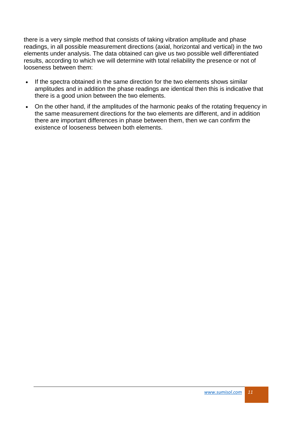there is a very simple method that consists of taking vibration amplitude and phase readings, in all possible measurement directions (axial, horizontal and vertical) in the two elements under analysis. The data obtained can give us two possible well differentiated results, according to which we will determine with total reliability the presence or not of looseness between them:

- If the spectra obtained in the same direction for the two elements shows similar amplitudes and in addition the phase readings are identical then this is indicative that there is a good union between the two elements.
- On the other hand, if the amplitudes of the harmonic peaks of the rotating frequency in the same measurement directions for the two elements are different, and in addition there are important differences in phase between them, then we can confirm the existence of looseness between both elements.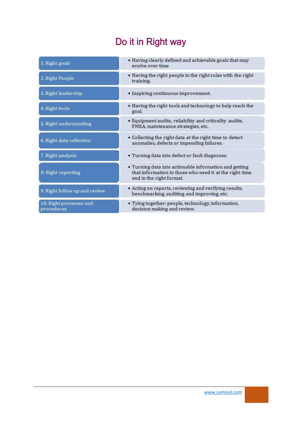# Do it in Right way

| 1. Right goals                        | · Having clearly defined and achievable goals that may<br>evolve over time                                                                    |
|---------------------------------------|-----------------------------------------------------------------------------------------------------------------------------------------------|
| 2. Right People                       | . Having the right people in the right roles with the right<br>training.                                                                      |
| 3. Right leadership                   | • Inspiring continuous improvement.                                                                                                           |
| 4. Right tools                        | . Having the right tools and technology to help reach the<br>goal.                                                                            |
| 5. Right understanding                | • Equipment audits, reliability and criticality audits,<br>FMEA, maintenance strategies, etc.                                                 |
| 6. Right data collection              | • Collecting the right data at the right time to detect<br>anomalies, defects or impending failures.                                          |
| 7. Right analysis                     | · Turning data into defect or fault diagnoses.                                                                                                |
| 8. Right reporting                    | . Turning data into actionable information and getting<br>that information to those who need it at the right time<br>and in the right format. |
| 9. Right follow up and review         | • Acting on reports, reviewing and verifying results,<br>benchmarking, auditing and improving, etc.                                           |
| 10. Right processes and<br>procedures | · Tying together: people, technology, information,<br>decision making and review.                                                             |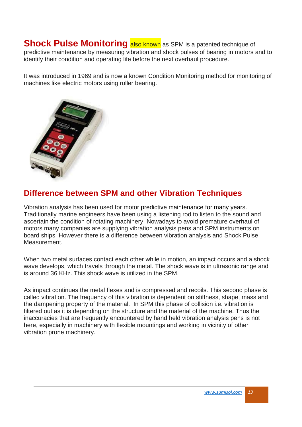**Shock Pulse Monitoring also known** as SPM is a patented technique of predictive maintenance by measuring vibration and shock pulses of bearing in motors and to identify their condition and operating life before the next overhaul procedure.

It was introduced in 1969 and is now a known Condition Monitoring method for monitoring of machines like electric motors using roller bearing.



### **Difference between SPM and other Vibration Techniques**

Vibration analysis has been used for motor predictive [maintenance](https://www.marineinsight.com/guidelines/how-maintenance-work-is-done-onboard-a-ship/) for many years. Traditionally marine engineers have been using a listening rod to listen to the sound and ascertain the condition of rotating machinery. Nowadays to avoid premature overhaul of motors many companies are supplying vibration analysis pens and SPM instruments on board ships. However there is a difference between vibration analysis and Shock Pulse Measurement.

When two metal surfaces contact each other while in motion, an impact occurs and a shock wave develops, which travels through the metal. The shock wave is in ultrasonic range and is around 36 KHz. This shock wave is utilized in the SPM.

As impact continues the metal flexes and is compressed and recoils. This second phase is called vibration. The frequency of this vibration is dependent on stiffness, shape, mass and the dampening property of the material. In SPM this phase of collision i.e. vibration is filtered out as it is depending on the structure and the material of the machine. Thus the inaccuracies that are frequently encountered by hand held vibration analysis pens is not here, especially in machinery with flexible mountings and working in vicinity of other vibration prone machinery.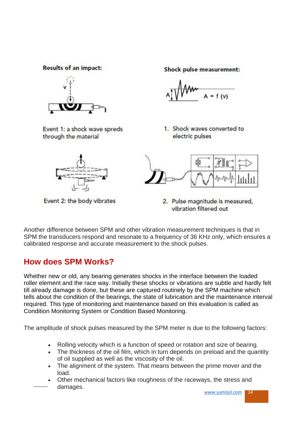**Results of an impact:** 



Event 1: a shock wave spreds through the material

Event 2: the body vibrates

Shock pulse measurement:

1. Shock waves converted to electric pulses



2. Pulse magnitude is measured, vibration filtered out

Another difference between SPM and other vibration measurement techniques is that in SPM the transducers respond and resonate to a frequency of 36 KHz only, which ensures a calibrated response and accurate measurement to the shock pulses.

### **How does SPM Works?**

Whether new or old, any bearing generates shocks in the interface between the loaded roller element and the race way. Initially these shocks or [vibrations](https://www.marineinsight.com/main-engine/understanding-vibrations-in-marine-propulsion-engines/) are subtle and hardly felt till already damage is done, but these are captured routinely by the SPM machine which tells about the condition of the bearings, the state of lubrication and the maintenance interval required. This type of monitoring and maintenance based on this evaluation is called as Condition Monitoring System or Condition Based Monitoring.

The amplitude of shock pulses measured by the SPM meter is due to the following factors:

- Rolling velocity which is a function of speed or rotation and size of bearing.
- The thickness of the oil film, which in turn depends on preload and the quantity of oil supplied as well as the viscosity of the oil.
- The alignment of the system. That means between the prime mover and the load.
- Other mechanical factors like roughness of the raceways, the stress and damages.